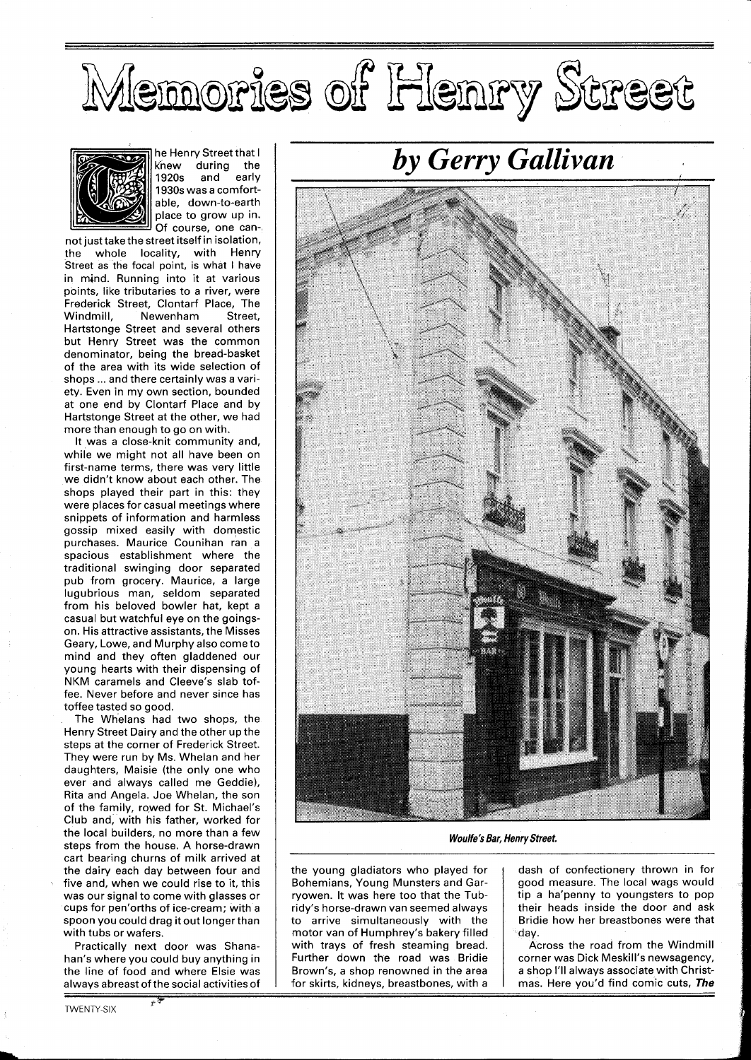## Memories of Henry Street



he Henry Street that I knew during the<br>1920s and early 1920s 1930s was a comfortable, down-to-earth place to grow up in. Of course, one can-

not just take the street itself in isolation, the whole locality, with Henry Street as the focal point, is what I have in mind. Running into it at various points, like tributaries to a river, were Frederick Street, Clontarf Place, The Newenham Street, Hartstonge Street and several others but Henry Street was the common denominator, being the bread-basket of the area with its wide selection of shops ... and there certainly was a variety. Even in my own section, bounded at one end by Clontarf Place and by Hartstonge Street at the other, we had more than enough to go on with.

It was a close-knit community and, while we might not all have been on first-name terms, there was very little we didn't know about each other. The shops played their part in this: they were places for casual meetings where snippets of information and harmless gossip mixed easily with domestic purchases. Maurice Counihan ran a spacious establishment where the traditional swinging door separated pub from grocery. Maurice, a large lugubrious man, seldom separated from his beloved bowler hat, kept a casual but watchful eye on the goingson. His attractive assistants, the Misses Geary, Lowe, and Murphy also come to mind and they often gladdened our young hearts with their dispensing of NKM caramels and Cleeve's slab toffee. Never before and never since has toffee tasted so good.

The Whelans had two shops, the Henry Street Dairy and the other up the steps at the corner of Frederick Street. They were run by Ms. Whelan and her daughters, Maisie (the only one who ever and always called me Geddie), Rita and Angela. Joe Whelan, the son of the family, rowed for St. Michael's Club and, with his father, worked for the local builders, no more than a few steps from the house. A horse-drawn cart bearing churns of milk arrived at the dairy each day between four and five and, when we could rise to it, this was our signal to come with glasses or cups for pen'orths of ice-cream; with a spoon you could drag it out longerthan with tubs or wafers.

Practically next door was Shanahan's where you could buy anything in the line of food and where Elsie was alwavs abreast of the social activities of

,, *d* 

*by Gerry Gallivan* 



**Woulfe's Bar, Henry Street.** 

the young gladiators who played for Bohemians, Young Munsters and Garryowen. It was here too that the Tubridy's horse-drawn van seemed always to arrive simultaneously with the motor van of Humphrey's bakery filled with trays of fresh steaming bread. Further down the road was Bridie Brown's, a shop renowned in the area for skirts, kidneys, breastbones, with a

dash of confectionery thrown in for good measure. The local wags would tip a ha'penny to youngsters to pop their heads inside the door and ask Bridie how her breastbones were that day.

Across the road from the Windmill corner was Dick Meskill's newsagency, a shop I'll always associate with Christmas. Here you'd find comic cuts, **The**